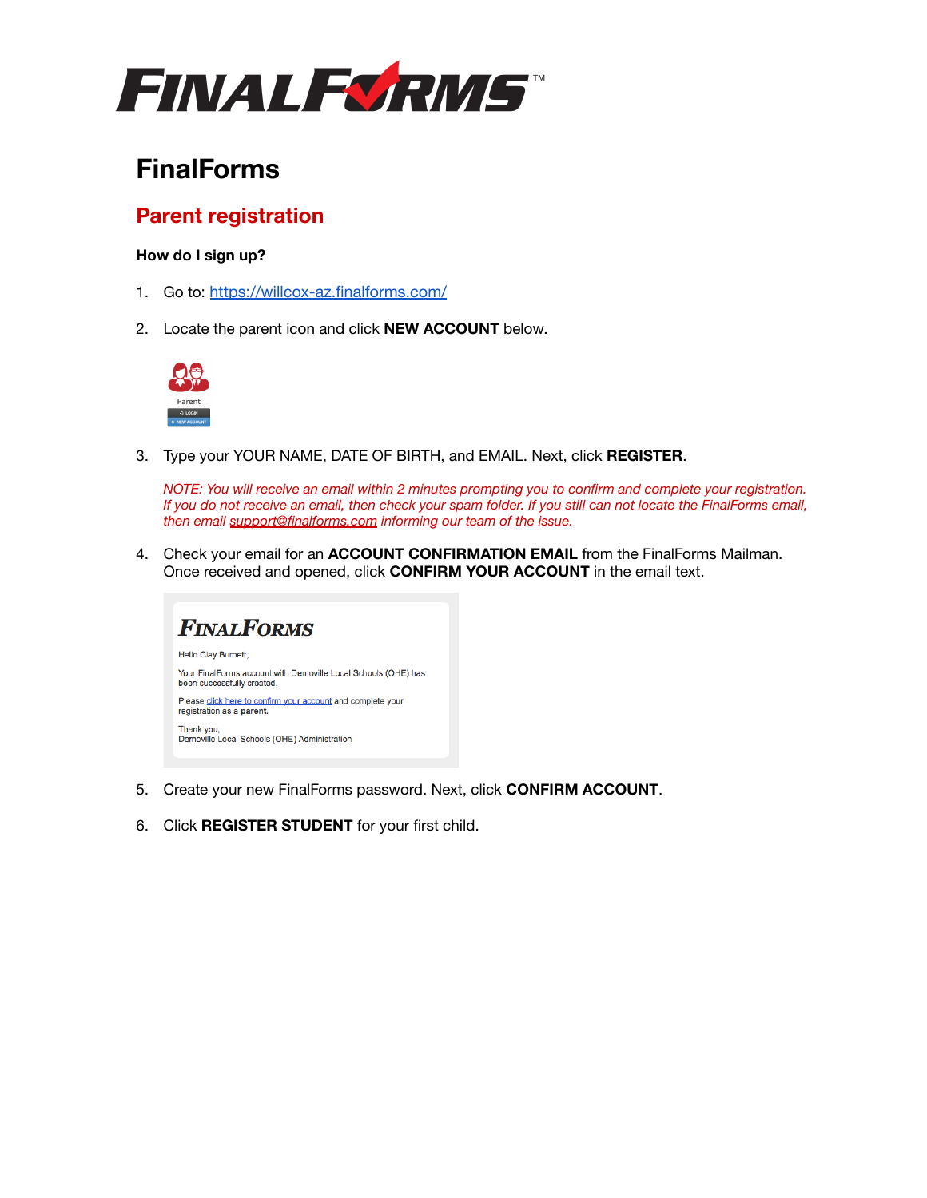

# **FinalForms**

## **Parent registration**

### **How do I sign up?**

- 1. Go to: <https://willcox-az.finalforms.com/>
- 2. Locate the parent icon and click **NEW ACCOUNT** below.



3. Type your YOUR NAME, DATE OF BIRTH, and EMAIL. Next, click **REGISTER**.

*NOTE: You will receive an email within 2 minutes prompting you to confirm and complete your registration. If you do not receive an email, then check your spam folder. If you still can not locate the FinalForms email, then email [support@finalforms.com](mailto:support@finalforms.com) informing our team of the issue.*

4. Check your email for an **ACCOUNT CONFIRMATION EMAIL** from the FinalForms Mailman. Once received and opened, click **CONFIRM YOUR ACCOUNT** in the email text.



- 5. Create your new FinalForms password. Next, click **CONFIRM ACCOUNT**.
- 6. Click **REGISTER STUDENT** for your first child.